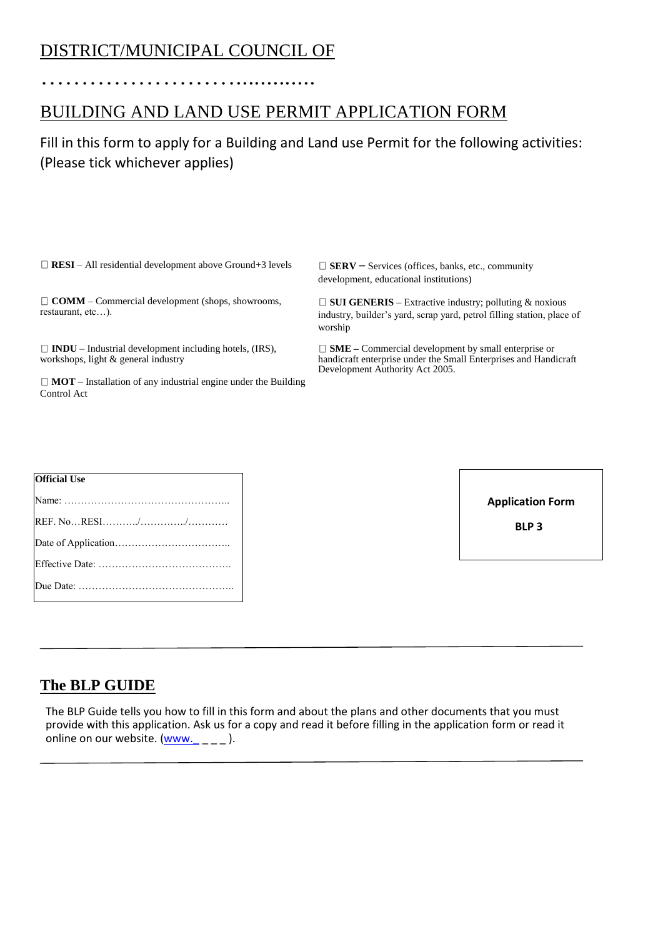# DISTRICT/MUNICIPAL COUNCIL OF

…………………….............

## BUILDING AND LAND USE PERMIT APPLICATION FORM

### Fill in this form to apply for a Building and Land use Permit for the following activities: (Please tick whichever applies)

 $\Box$  **RESI** – All residential development above Ground+3 levels  $\Box$  **SERV** – Services (offices, banks, etc., community

**COMM** – Commercial development (shops, showrooms, restaurant, etc…).

 $\Box$  **INDU** – Industrial development including hotels, (IRS), workshops, light & general industry

**MOT** – Installation of any industrial engine under the Building Control Act

development, educational institutions)

 $\Box$  **SUI GENERIS** – Extractive industry; polluting & noxious industry, builder's yard, scrap yard, petrol filling station, place of worship

**SME –** Commercial development by small enterprise or handicraft enterprise under the Small Enterprises and Handicraft Development Authority Act 2005.

| <b>Official Use</b> |
|---------------------|
|                     |
|                     |
|                     |
|                     |
|                     |
|                     |

 **BLP 3**

### **The BLP GUIDE**

The BLP Guide tells you how to fill in this form and about the plans and other documents that you must provide with this application. Ask us for a copy and read it before filling in the application form or read it online on our website. (www.  $\qquad$  ).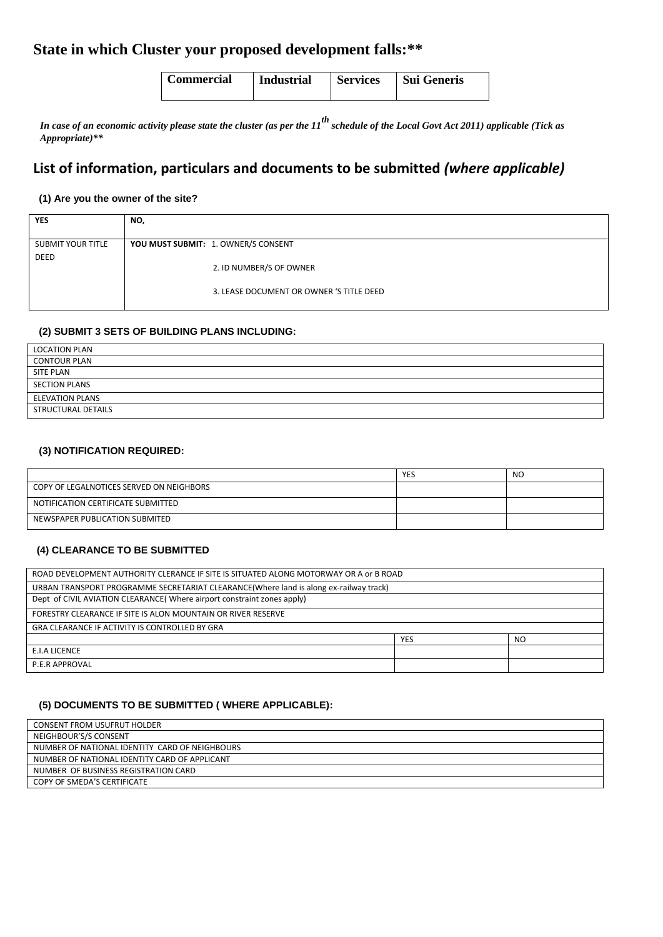### **State in which Cluster your proposed development falls:\*\***

| Commercial | <b>Industrial</b> | <b>Services</b> | Sui Generis |
|------------|-------------------|-----------------|-------------|
|            |                   |                 |             |

*In case of an economic activity please state the cluster (as per the 11th schedule of the Local Govt Act 2011) applicable (Tick as Appropriate)\*\**

### **List of information, particulars and documents to be submitted** *(where applicable)*

#### **(1) Are you the owner of the site?**

| <b>YES</b>               | NO,                                      |
|--------------------------|------------------------------------------|
|                          |                                          |
| <b>SUBMIT YOUR TITLE</b> | YOU MUST SUBMIT: 1. OWNER/S CONSENT      |
| DEED                     |                                          |
|                          | 2. ID NUMBER/S OF OWNER                  |
|                          |                                          |
|                          | 3. LEASE DOCUMENT OR OWNER 'S TITLE DEED |
|                          |                                          |

#### **(2) SUBMIT 3 SETS OF BUILDING PLANS INCLUDING:**

| <b>LOCATION PLAN</b>   |  |
|------------------------|--|
| <b>CONTOUR PLAN</b>    |  |
| SITE PLAN              |  |
| <b>SECTION PLANS</b>   |  |
| <b>ELEVATION PLANS</b> |  |
| STRUCTURAL DETAILS     |  |

#### **(3) NOTIFICATION REQUIRED:**

|                                          | <b>YES</b> | <b>NO</b> |
|------------------------------------------|------------|-----------|
| COPY OF LEGALNOTICES SERVED ON NEIGHBORS |            |           |
| NOTIFICATION CERTIFICATE SUBMITTED       |            |           |
| NEWSPAPER PUBLICATION SUBMITED           |            |           |

#### **(4) CLEARANCE TO BE SUBMITTED**

| ROAD DEVELOPMENT AUTHORITY CLERANCE IF SITE IS SITUATED ALONG MOTORWAY OR A or B ROAD  |            |     |  |
|----------------------------------------------------------------------------------------|------------|-----|--|
|                                                                                        |            |     |  |
| URBAN TRANSPORT PROGRAMME SECRETARIAT CLEARANCE (Where land is along ex-railway track) |            |     |  |
| Dept of CIVIL AVIATION CLEARANCE (Where airport constraint zones apply)                |            |     |  |
|                                                                                        |            |     |  |
| FORESTRY CLEARANCE IF SITE IS ALON MOUNTAIN OR RIVER RESERVE                           |            |     |  |
|                                                                                        |            |     |  |
| <b>GRA CLEARANCE IF ACTIVITY IS CONTROLLED BY GRA</b>                                  |            |     |  |
|                                                                                        |            |     |  |
|                                                                                        | <b>YES</b> | NO. |  |
| E.I.A LICENCE                                                                          |            |     |  |
|                                                                                        |            |     |  |
| P.E.R APPROVAL                                                                         |            |     |  |
|                                                                                        |            |     |  |

#### **(5) DOCUMENTS TO BE SUBMITTED ( WHERE APPLICABLE):**

| <b>CONSENT FROM USUFRUT HOLDER</b>             |
|------------------------------------------------|
| NEIGHBOUR'S/S CONSENT                          |
| NUMBER OF NATIONAL IDENTITY CARD OF NEIGHBOURS |
| NUMBER OF NATIONAL IDENTITY CARD OF APPLICANT  |
| NUMBER OF BUSINESS REGISTRATION CARD           |
| COPY OF SMEDA'S CERTIFICATE                    |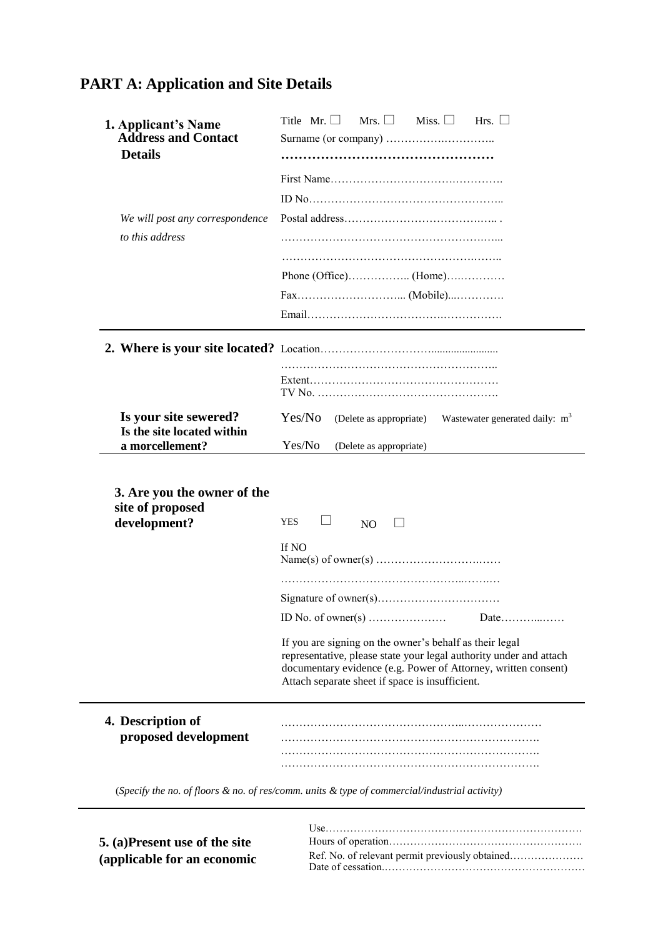# **PART A: Application and Site Details**

| 1. Applicant's Name<br><b>Address and Contact</b>               | Title Mr. $\Box$<br>Mrs. $\Box$<br>Miss. $\Box$<br>Hrs. $\Box$                                                                       |  |  |
|-----------------------------------------------------------------|--------------------------------------------------------------------------------------------------------------------------------------|--|--|
| <b>Details</b>                                                  |                                                                                                                                      |  |  |
|                                                                 |                                                                                                                                      |  |  |
|                                                                 |                                                                                                                                      |  |  |
|                                                                 |                                                                                                                                      |  |  |
| We will post any correspondence                                 |                                                                                                                                      |  |  |
| to this address                                                 |                                                                                                                                      |  |  |
|                                                                 |                                                                                                                                      |  |  |
|                                                                 |                                                                                                                                      |  |  |
|                                                                 |                                                                                                                                      |  |  |
|                                                                 |                                                                                                                                      |  |  |
|                                                                 |                                                                                                                                      |  |  |
|                                                                 |                                                                                                                                      |  |  |
|                                                                 |                                                                                                                                      |  |  |
|                                                                 |                                                                                                                                      |  |  |
| Is your site sewered?                                           | Yes/No<br>(Delete as appropriate) Wastewater generated daily: m <sup>3</sup>                                                         |  |  |
| Is the site located within<br>a morcellement?                   | Yes/No<br>(Delete as appropriate)                                                                                                    |  |  |
|                                                                 |                                                                                                                                      |  |  |
| 3. Are you the owner of the<br>site of proposed<br>development? | <b>YES</b><br>NO                                                                                                                     |  |  |
|                                                                 | If NO                                                                                                                                |  |  |
|                                                                 |                                                                                                                                      |  |  |
|                                                                 | ID No. of owner(s) $\dots$<br>Date                                                                                                   |  |  |
|                                                                 | If you are signing on the owner's behalf as their legal<br>Attach separate sheet if space is insufficient.                           |  |  |
| proposed development                                            |                                                                                                                                      |  |  |
|                                                                 |                                                                                                                                      |  |  |
| 4. Description of                                               | representative, please state your legal authority under and attach<br>documentary evidence (e.g. Power of Attorney, written consent) |  |  |

|                               | $l$ sequences is a sequence in the sequence of $l$ sequences in $l$ sequences in $l$ |
|-------------------------------|--------------------------------------------------------------------------------------|
| 5. (a)Present use of the site |                                                                                      |
| (applicable for an economic   |                                                                                      |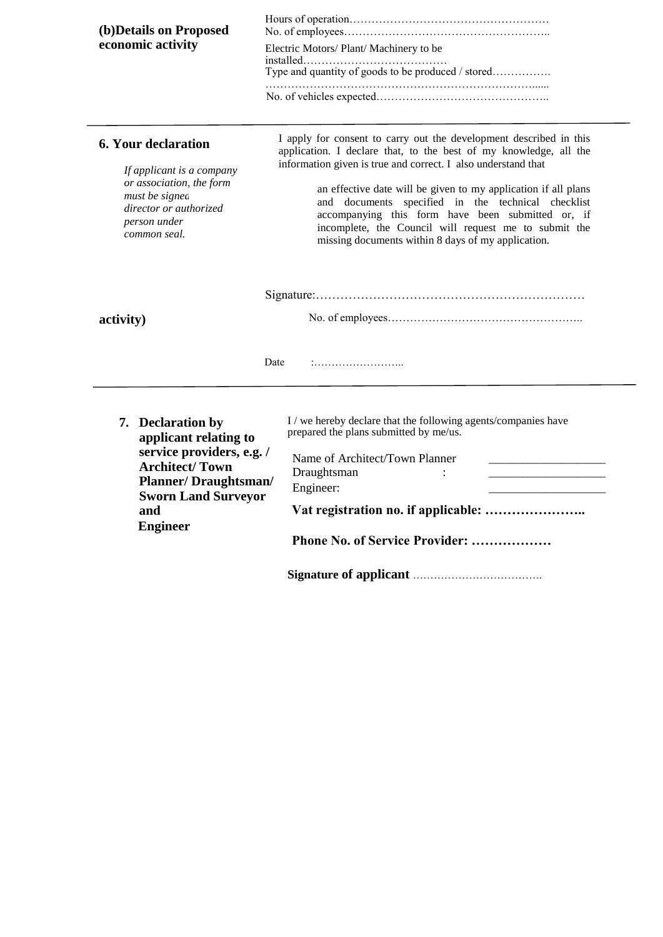| (b) Details on Proposed                                                                              |                                                                                                                                                                                                                                                                                          |
|------------------------------------------------------------------------------------------------------|------------------------------------------------------------------------------------------------------------------------------------------------------------------------------------------------------------------------------------------------------------------------------------------|
| economic activity                                                                                    | Electric Motors/ Plant/ Machinery to be                                                                                                                                                                                                                                                  |
|                                                                                                      | Type and quantity of goods to be produced / stored                                                                                                                                                                                                                                       |
|                                                                                                      |                                                                                                                                                                                                                                                                                          |
| <b>6. Your declaration</b><br>If applicant is a company                                              | I apply for consent to carry out the development described in this<br>application. I declare that, to the best of my knowledge, all the<br>information given is true and correct. I also understand that                                                                                 |
| or association, the form<br>must be signed<br>director or authorized<br>person under<br>common seal. | an effective date will be given to my application if all plans<br>and documents specified in the technical checklist<br>accompanying this form have been submitted or, if<br>incomplete, the Council will request me to submit the<br>missing documents within 8 days of my application. |
|                                                                                                      |                                                                                                                                                                                                                                                                                          |
| activity)                                                                                            |                                                                                                                                                                                                                                                                                          |
|                                                                                                      | Date                                                                                                                                                                                                                                                                                     |
| 7. Declaration by<br>applicant relating to                                                           | I / we hereby declare that the following agents/companies have<br>prepared the plans submitted by me/us.                                                                                                                                                                                 |
| service providers, e.g. /<br><b>Architect/Town</b><br><b>Planner/Draughtsman/</b>                    | Name of Architect/Town Planner<br>Draughtsman<br>Engineer:                                                                                                                                                                                                                               |
| <b>Sworn Land Surveyor</b><br>and                                                                    |                                                                                                                                                                                                                                                                                          |
| <b>Engineer</b>                                                                                      | Phone No. of Service Provider:                                                                                                                                                                                                                                                           |
|                                                                                                      |                                                                                                                                                                                                                                                                                          |